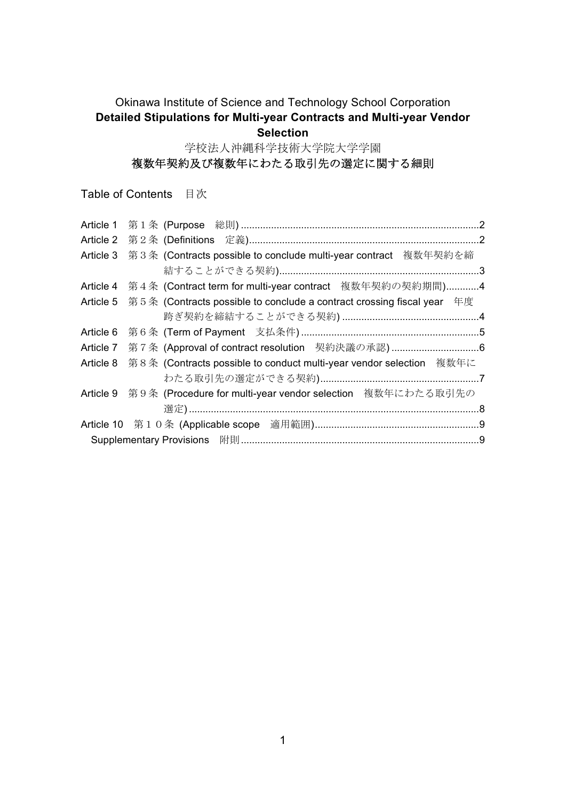#### Okinawa Institute of Science and Technology School Corporation **Detailed Stipulations for Multi-year Contracts and Multi-year Vendor Selection**

学校法人沖縄科学技術大学院大学学園

# 複数年契約及び複数年にわたる取引先の選定に関する細則

Table of Contents 目次

| Article 1 |                                                                        |  |
|-----------|------------------------------------------------------------------------|--|
|           |                                                                        |  |
| Article 3 | 第3条 (Contracts possible to conclude multi-year contract 複数年契約を締        |  |
|           |                                                                        |  |
| Article 4 | 第4条 (Contract term for multi-year contract 複数年契約の契約期間)4                |  |
| Article 5 | 第5条 (Contracts possible to conclude a contract crossing fiscal year 年度 |  |
|           |                                                                        |  |
| Article 6 |                                                                        |  |
| Article 7 |                                                                        |  |
| Article 8 | 第8条 (Contracts possible to conduct multi-year vendor selection 複数年に    |  |
|           |                                                                        |  |
|           | Article 9 第9条 (Procedure for multi-year vendor selection 複数年にわたる取引先の   |  |
|           |                                                                        |  |
|           |                                                                        |  |
|           |                                                                        |  |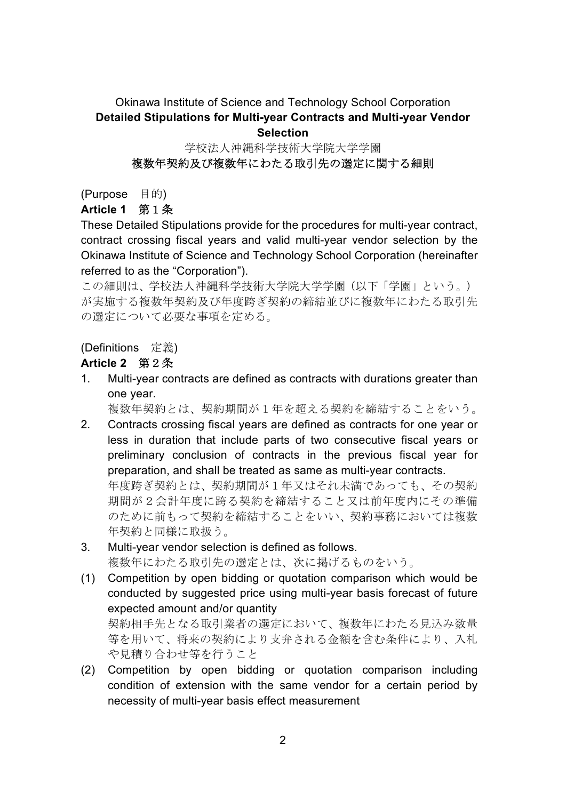#### Okinawa Institute of Science and Technology School Corporation **Detailed Stipulations for Multi-year Contracts and Multi-year Vendor Selection**

## 学校法人沖縄科学技術大学院大学学園 複数年契約及び複数年にわたる取引先の選定に関する細則

(Purpose 目的)

**Article 1** 第1条

These Detailed Stipulations provide for the procedures for multi-year contract, contract crossing fiscal years and valid multi-year vendor selection by the Okinawa Institute of Science and Technology School Corporation (hereinafter referred to as the "Corporation").

この細則は、学校法人沖縄科学技術大学院大学学園(以下「学園」という。) が実施する複数年契約及び年度跨ぎ契約の締結並びに複数年にわたる取引先 の選定について必要な事項を定める。

### (Definitions 定義)

#### **Article 2** 第2条

1. Multi-year contracts are defined as contracts with durations greater than one year.

複数年契約とは、契約期間が1年を超える契約を締結することをいう。

- 2. Contracts crossing fiscal years are defined as contracts for one year or less in duration that include parts of two consecutive fiscal years or preliminary conclusion of contracts in the previous fiscal year for preparation, and shall be treated as same as multi-year contracts. 年度跨ぎ契約とは、契約期間が1年又はそれ未満であっても、その契約 期間が2会計年度に跨る契約を締結すること又は前年度内にその準備 のために前もって契約を締結することをいい、契約事務においては複数 年契約と同様に取扱う。
- 3. Multi-year vendor selection is defined as follows. 複数年にわたる取引先の選定とは、次に掲げるものをいう。
- (1) Competition by open bidding or quotation comparison which would be conducted by suggested price using multi-year basis forecast of future expected amount and/or quantity 契約相手先となる取引業者の選定において、複数年にわたる見込み数量 等を用いて、将来の契約により支弁される金額を含む条件により、入札

や見積り合わせ等を行うこと (2) Competition by open bidding or quotation comparison including condition of extension with the same vendor for a certain period by necessity of multi-year basis effect measurement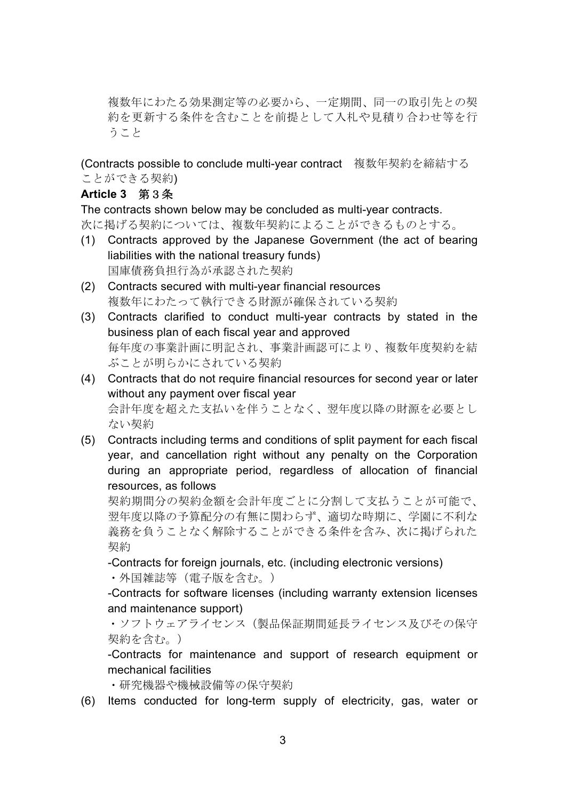複数年にわたる効果測定等の必要から、一定期間、同一の取引先との契 約を更新する条件を含むことを前提として入札や見積り合わせ等を行 うこと

(Contracts possible to conclude multi-year contract 複数年契約を締結する ことができる契約)

### **Article 3** 第3条

The contracts shown below may be concluded as multi-year contracts. 次に掲げる契約については、複数年契約によることができるものとする。

- (1) Contracts approved by the Japanese Government (the act of bearing liabilities with the national treasury funds) 国庫債務負担行為が承認された契約
- (2) Contracts secured with multi-year financial resources 複数年にわたって執行できる財源が確保されている契約
- (3) Contracts clarified to conduct multi-year contracts by stated in the business plan of each fiscal year and approved 毎年度の事業計画に明記され、事業計画認可により、複数年度契約を結 ぶことが明らかにされている契約
- (4) Contracts that do not require financial resources for second year or later without any payment over fiscal year 会計年度を超えた支払いを伴うことなく、翌年度以降の財源を必要とし ない契約
- (5) Contracts including terms and conditions of split payment for each fiscal year, and cancellation right without any penalty on the Corporation during an appropriate period, regardless of allocation of financial resources, as follows

契約期間分の契約金額を会計年度ごとに分割して支払うことが可能で、 翌年度以降の予算配分の有無に関わらず、適切な時期に、学園に不利な 義務を負うことなく解除することができる条件を含み、次に掲げられた 契約

-Contracts for foreign journals, etc. (including electronic versions)

• 外国雑誌等(電子版を含む。)

-Contracts for software licenses (including warranty extension licenses and maintenance support)

・ソフトウェアライセンス(製品保証期間延長ライセンス及びその保守 契約を含む。)

-Contracts for maintenance and support of research equipment or mechanical facilities

- ・研究機器や機械設備等の保守契約
- (6) Items conducted for long-term supply of electricity, gas, water or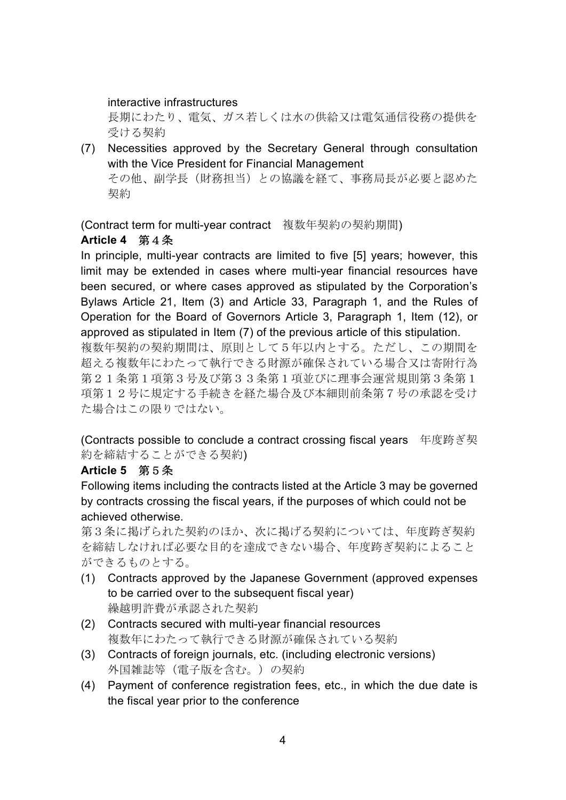interactive infrastructures

長期にわたり、電気、ガス若しくは水の供給又は電気通信役務の提供を 受ける契約

(7) Necessities approved by the Secretary General through consultation with the Vice President for Financial Management その他、副学長(財務担当)との協議を経て、事務局長が必要と認めた 契約

(Contract term for multi-year contract 複数年契約の契約期間)

#### **Article 4** 第4条

In principle, multi-year contracts are limited to five [5] years; however, this limit may be extended in cases where multi-year financial resources have been secured, or where cases approved as stipulated by the Corporation's Bylaws Article 21, Item (3) and Article 33, Paragraph 1, and the Rules of Operation for the Board of Governors Article 3, Paragraph 1, Item (12), or approved as stipulated in Item (7) of the previous article of this stipulation.

複数年契約の契約期間は、原則として5年以内とする。ただし、この期間を 超える複数年にわたって執行できる財源が確保されている場合又は寄附行為 第21条第1項第3号及び第33条第1項並びに理事会運営規則第3条第1 項第12号に規定する手続きを経た場合及び本細則前条第7号の承認を受け た場合はこの限りではない。

(Contracts possible to conclude a contract crossing fiscal years 年度跨ぎ契 約を締結することができる契約)

#### **Article 5** 第5条

Following items including the contracts listed at the Article 3 may be governed by contracts crossing the fiscal years, if the purposes of which could not be achieved otherwise.

第3条に掲げられた契約のほか、次に掲げる契約については、年度跨ぎ契約 を締結しなければ必要な目的を達成できない場合、年度跨ぎ契約によること ができるものとする。

- (1) Contracts approved by the Japanese Government (approved expenses to be carried over to the subsequent fiscal year) 繰越明許費が承認された契約
- (2) Contracts secured with multi-year financial resources 複数年にわたって執行できる財源が確保されている契約
- (3) Contracts of foreign journals, etc. (including electronic versions) 外国雑誌等(電子版を含む。)の契約
- (4) Payment of conference registration fees, etc., in which the due date is the fiscal year prior to the conference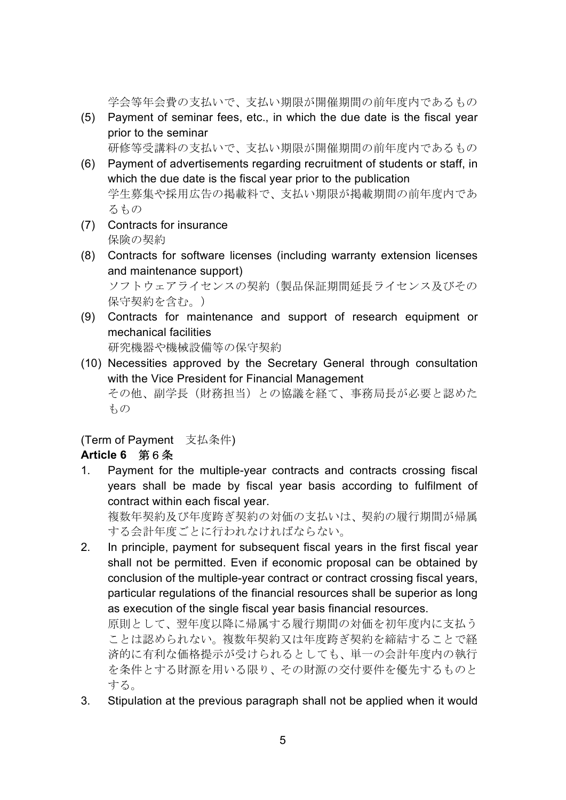学会等年会費の支払いで、支払い期限が開催期間の前年度内であるもの

(5) Payment of seminar fees, etc., in which the due date is the fiscal year prior to the seminar

研修等受講料の支払いで、支払い期限が開催期間の前年度内であるもの

- (6) Payment of advertisements regarding recruitment of students or staff, in which the due date is the fiscal year prior to the publication 学生募集や採用広告の掲載料で、支払い期限が掲載期間の前年度内であ るもの
- (7) Contracts for insurance 保険の契約
- (8) Contracts for software licenses (including warranty extension licenses and maintenance support)

ソフトウェアライセンスの契約(製品保証期間延長ライセンス及びその 保守契約を含む。)

(9) Contracts for maintenance and support of research equipment or mechanical facilities

研究機器や機械設備等の保守契約

(10) Necessities approved by the Secretary General through consultation with the Vice President for Financial Management その他、副学長(財務担当)との協議を経て、事務局長が必要と認めた もの

(Term of Payment 支払条件)

## **Article 6** 第6条

1. Payment for the multiple-year contracts and contracts crossing fiscal years shall be made by fiscal year basis according to fulfilment of contract within each fiscal year.

複数年契約及び年度跨ぎ契約の対価の支払いは、契約の履行期間が帰属 する会計年度ごとに行われなければならない。

2. In principle, payment for subsequent fiscal years in the first fiscal year shall not be permitted. Even if economic proposal can be obtained by conclusion of the multiple-year contract or contract crossing fiscal years, particular regulations of the financial resources shall be superior as long as execution of the single fiscal year basis financial resources.

原則として、翌年度以降に帰属する履行期間の対価を初年度内に支払う ことは認められない。複数年契約又は年度跨ぎ契約を締結することで経 済的に有利な価格提示が受けられるとしても、単一の会計年度内の執行 を条件とする財源を用いる限り、その財源の交付要件を優先するものと する。

3. Stipulation at the previous paragraph shall not be applied when it would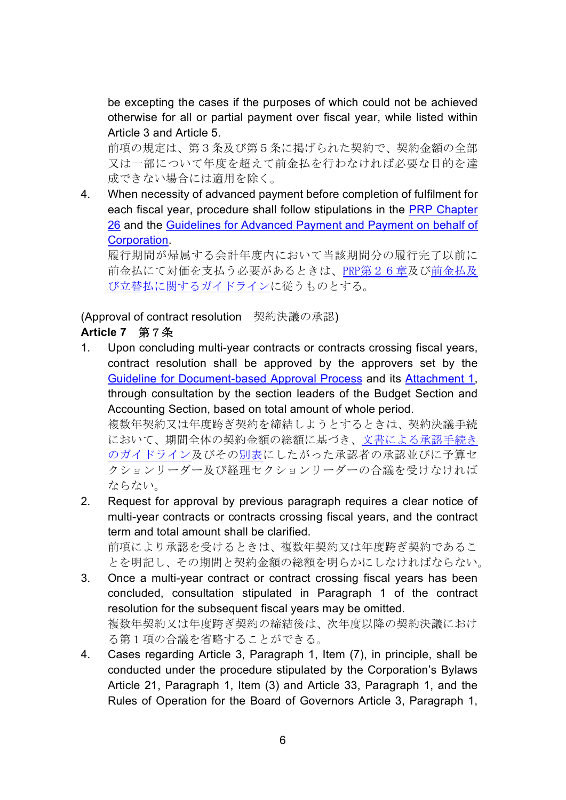be excepting the cases if the purposes of which could not be achieved otherwise for all or partial payment over fiscal year, while listed within Article 3 and Article 5.

前項の規定は、第3条及び第5条に掲げられた契約で、契約金額の全部 又は一部について年度を超えて前金払を行わなければ必要な目的を達 成できない場合には適用を除く。

4. When necessity of advanced payment before completion of fulfilment for each fiscal year, procedure shall follow stipulations in the PRP Chapter 26 and the Guidelines for Advanced Payment and Payment on behalf of Corporation.

履行期間が帰属する会計年度内において当該期間分の履行完了以前に 前金払にて対価を支払う必要があるときは、PRP第26章及び前金払及 び立替払に関するガイドラインに従うものとする。

(Approval of contract resolution 契約決議の承認)

## **Article 7** 第7条

1. Upon concluding multi-year contracts or contracts crossing fiscal years, contract resolution shall be approved by the approvers set by the Guideline for Document-based Approval Process and its Attachment 1, through consultation by the section leaders of the Budget Section and Accounting Section, based on total amount of whole period.

複数年契約又は年度跨ぎ契約を締結しようとするときは、契約決議手続 において、期間全体の契約金額の総額に基づき、文書による承認手続き のガイドライン及びその別表にしたがった承認者の承認並びに予算セ クションリーダー及び経理セクションリーダーの合議を受けなければ ならない。

- 2. Request for approval by previous paragraph requires a clear notice of multi-year contracts or contracts crossing fiscal years, and the contract term and total amount shall be clarified. 前項により承認を受けるときは、複数年契約又は年度跨ぎ契約であるこ とを明記し、その期間と契約金額の総額を明らかにしなければならない。
- 3. Once a multi-year contract or contract crossing fiscal years has been concluded, consultation stipulated in Paragraph 1 of the contract resolution for the subsequent fiscal years may be omitted. 複数年契約又は年度跨ぎ契約の締結後は、次年度以降の契約決議におけ る第1項の合議を省略することができる。
- 4. Cases regarding Article 3, Paragraph 1, Item (7), in principle, shall be conducted under the procedure stipulated by the Corporation's Bylaws Article 21, Paragraph 1, Item (3) and Article 33, Paragraph 1, and the Rules of Operation for the Board of Governors Article 3, Paragraph 1,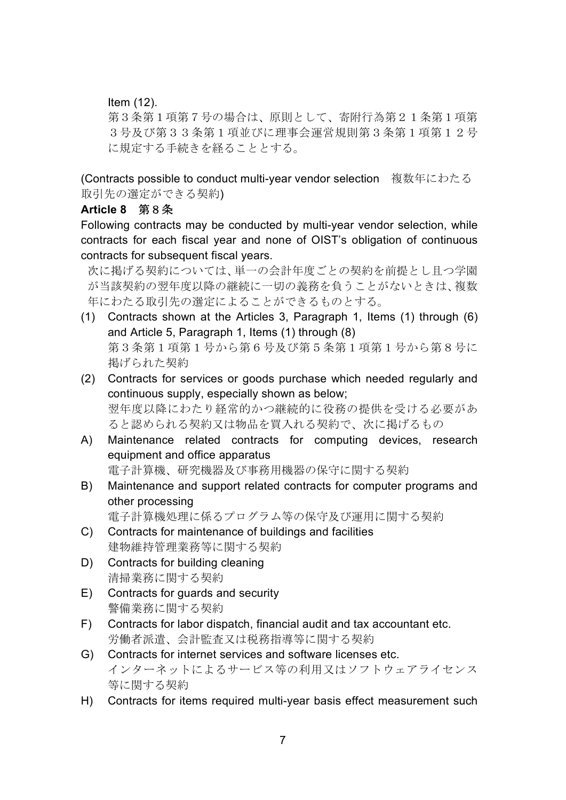Item (12).

第3条第1項第7号の場合は、原則として、寄附行為第21条第1項第 3号及び第33条第1項並びに理事会運営規則第3条第1項第12号 に規定する手続きを経ることとする。

(Contracts possible to conduct multi-year vendor selection 複数年にわたる 取引先の選定ができる契約)

#### **Article 8** 第8条

Following contracts may be conducted by multi-year vendor selection, while contracts for each fiscal year and none of OIST's obligation of continuous contracts for subsequent fiscal years.

次に掲げる契約については、単一の会計年度ごとの契約を前提とし且つ学園 が当該契約の翌年度以降の継続に一切の義務を負うことがないときは、複数 年にわたる取引先の選定によることができるものとする。

- (1) Contracts shown at the Articles 3, Paragraph 1, Items (1) through (6) and Article 5, Paragraph 1, Items (1) through (8) 第3条第1項第1号から第6号及び第5条第1項第1号から第8号に 掲げられた契約
- (2) Contracts for services or goods purchase which needed regularly and continuous supply, especially shown as below; 翌年度以降にわたり経常的かつ継続的に役務の提供を受ける必要があ ると認められる契約又は物品を買入れる契約で、次に掲げるもの
- A) Maintenance related contracts for computing devices, research equipment and office apparatus 電子計算機、研究機器及び事務用機器の保守に関する契約
- B) Maintenance and support related contracts for computer programs and other processing

電子計算機処理に係るプログラム等の保守及び運用に関する契約

- C) Contracts for maintenance of buildings and facilities 建物維持管理業務等に関する契約
- D) Contracts for building cleaning 清掃業務に関する契約
- E) Contracts for guards and security 警備業務に関する契約
- F) Contracts for labor dispatch, financial audit and tax accountant etc. 労働者派遣、会計監査又は税務指導等に関する契約
- G) Contracts for internet services and software licenses etc. インターネットによるサービス等の利用又はソフトウェアライセンス 等に関する契約
- H) Contracts for items required multi-year basis effect measurement such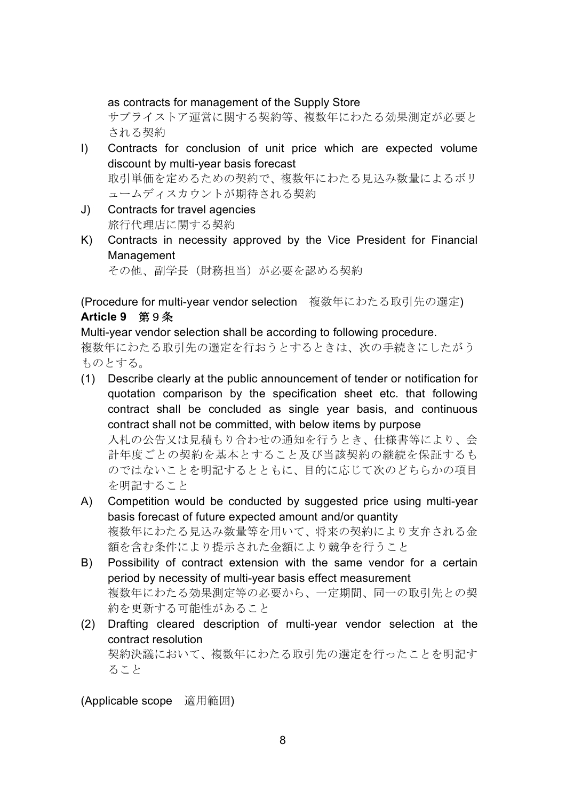as contracts for management of the Supply Store

サプライストア運営に関する契約等、複数年にわたる効果測定が必要と される契約

I) Contracts for conclusion of unit price which are expected volume discount by multi-year basis forecast 取引単価を定めるための契約で、複数年にわたる見込み数量によるボリ

ュームディスカウントが期待される契約

- J) Contracts for travel agencies 旅行代理店に関する契約
- K) Contracts in necessity approved by the Vice President for Financial Management

その他、副学長(財務担当)が必要を認める契約

(Procedure for multi-year vendor selection 複数年にわたる取引先の選定) **Article 9** 第9条

Multi-year vendor selection shall be according to following procedure.

複数年にわたる取引先の選定を行おうとするときは、次の手続きにしたがう ものとする。

(1) Describe clearly at the public announcement of tender or notification for quotation comparison by the specification sheet etc. that following contract shall be concluded as single year basis, and continuous contract shall not be committed, with below items by purpose 入札の公告又は見積もり合わせの通知を行うとき、仕様書等により、会 計年度ごとの契約を基本とすること及び当該契約の継続を保証するも

のではないことを明記するとともに、目的に応じて次のどちらかの項目 を明記すること

- A) Competition would be conducted by suggested price using multi-year basis forecast of future expected amount and/or quantity 複数年にわたる見込み数量等を用いて、将来の契約により支弁される金 額を含む条件により提示された金額により競争を行うこと
- B) Possibility of contract extension with the same vendor for a certain period by necessity of multi-year basis effect measurement 複数年にわたる効果測定等の必要から、一定期間、同一の取引先との契 約を更新する可能性があること
- (2) Drafting cleared description of multi-year vendor selection at the contract resolution 契約決議において、複数年にわたる取引先の選定を行ったことを明記す ること

(Applicable scope 適用範囲)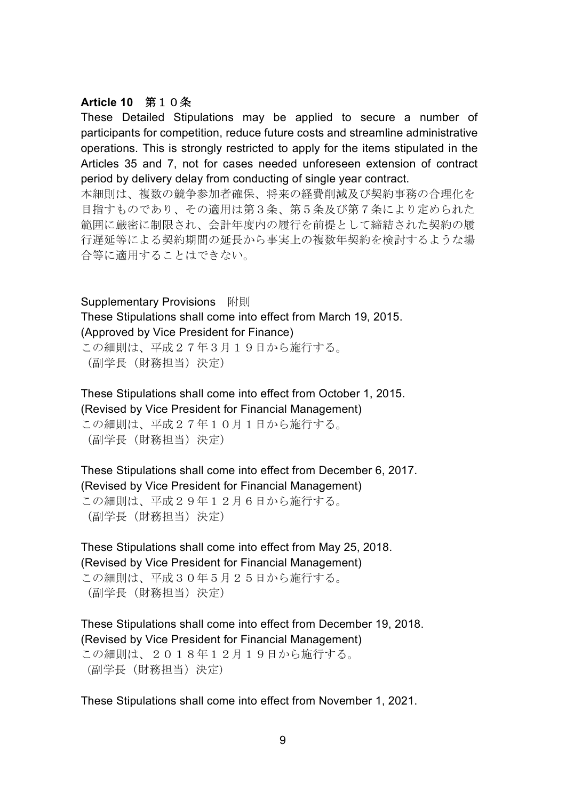#### **Article 10** 第10条

These Detailed Stipulations may be applied to secure a number of participants for competition, reduce future costs and streamline administrative operations. This is strongly restricted to apply for the items stipulated in the Articles 35 and 7, not for cases needed unforeseen extension of contract period by delivery delay from conducting of single year contract.

本細則は、複数の競争参加者確保、将来の経費削減及び契約事務の合理化を 目指すものであり、その適用は第3条、第5条及び第7条により定められた 範囲に厳密に制限され、会計年度内の履行を前提として締結された契約の履 行遅延等による契約期間の延長から事実上の複数年契約を検討するような場 合等に適用することはできない。

#### Supplementary Provisions 附則

These Stipulations shall come into effect from March 19, 2015. (Approved by Vice President for Finance)

この細則は、平成27年3月19日から施行する。 (副学長(財務担当)決定)

These Stipulations shall come into effect from October 1, 2015. (Revised by Vice President for Financial Management) この細則は、平成27年10月1日から施行する。 (副学長(財務担当)決定)

These Stipulations shall come into effect from December 6, 2017. (Revised by Vice President for Financial Management) この細則は、平成29年12月6日から施行する。 (副学長(財務担当)決定)

These Stipulations shall come into effect from May 25, 2018. (Revised by Vice President for Financial Management) この細則は、平成30年5月25日から施行する。

(副学長(財務担当)決定)

These Stipulations shall come into effect from December 19, 2018. (Revised by Vice President for Financial Management) この細則は、2018年12月19日から施行する。 (副学長(財務担当)決定)

These Stipulations shall come into effect from November 1, 2021.